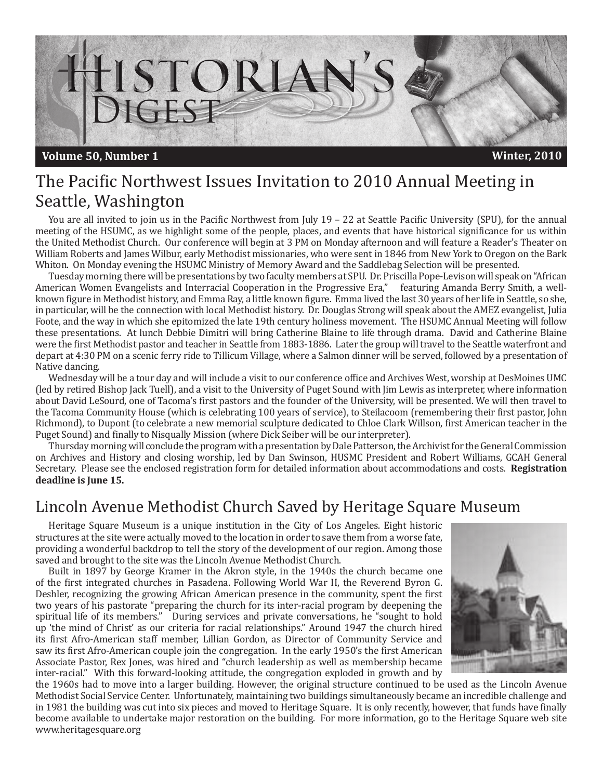

# The Pacific Northwest Issues Invitation to 2010 Annual Meeting in Seattle, Washington

You are all invited to join us in the Pacific Northwest from July 19 – 22 at Seattle Pacific University (SPU), for the annual meeting of the HSUMC, as we highlight some of the people, places, and events that have historical significance for us within the United Methodist Church. Our conference will begin at 3 PM on Monday afternoon and will feature a Reader's Theater on William Roberts and James Wilbur, early Methodist missionaries, who were sent in 1846 from New York to Oregon on the Bark Whiton. On Monday evening the HSUMC Ministry of Memory Award and the Saddlebag Selection will be presented.

Tuesday morning there will be presentations by two faculty members at SPU. Dr. Priscilla Pope-Levison will speak on "African American Women Evangelists and Interracial Cooperation in the Progressive Era," featuring Amanda Berry Smith, a wellknown figure in Methodist history, and Emma Ray, a little known figure. Emma lived the last 30 years of her life in Seattle, so she, in particular, will be the connection with local Methodist history. Dr. Douglas Strong will speak about the AMEZ evangelist, Julia Foote, and the way in which she epitomized the late 19th century holiness movement. The HSUMC Annual Meeting will follow these presentations. At lunch Debbie Dimitri will bring Catherine Blaine to life through drama. David and Catherine Blaine were the first Methodist pastor and teacher in Seattle from 1883-1886. Later the group will travel to the Seattle waterfront and depart at 4:30 PM on a scenic ferry ride to Tillicum Village, where a Salmon dinner will be served, followed by a presentation of Native dancing.

Wednesday will be a tour day and will include a visit to our conference office and Archives West, worship at DesMoines UMC (led by retired Bishop Jack Tuell), and a visit to the University of Puget Sound with Jim Lewis as interpreter, where information about David LeSourd, one of Tacoma's first pastors and the founder of the University, will be presented. We will then travel to the Tacoma Community House (which is celebrating 100 years of service), to Steilacoom (remembering their first pastor, John Richmond), to Dupont (to celebrate a new memorial sculpture dedicated to Chloe Clark Willson, first American teacher in the Puget Sound) and finally to Nisqually Mission (where Dick Seiber will be our interpreter).

Thursday morning will conclude the program with a presentation by Dale Patterson, the Archivist for the General Commission on Archives and History and closing worship, led by Dan Swinson, HUSMC President and Robert Williams, GCAH General Secretary. Please see the enclosed registration form for detailed information about accommodations and costs. **Registration deadline is June 15.**

## Lincoln Avenue Methodist Church Saved by Heritage Square Museum

Heritage Square Museum is a unique institution in the City of Los Angeles. Eight historic structures at the site were actually moved to the location in order to save them from a worse fate, providing a wonderful backdrop to tell the story of the development of our region. Among those saved and brought to the site was the Lincoln Avenue Methodist Church.

Built in 1897 by George Kramer in the Akron style, in the 1940s the church became one of the first integrated churches in Pasadena. Following World War II, the Reverend Byron G. Deshler, recognizing the growing African American presence in the community, spent the first two years of his pastorate "preparing the church for its inter-racial program by deepening the spiritual life of its members." During services and private conversations, he "sought to hold up 'the mind of Christ' as our criteria for racial relationships." Around 1947 the church hired its first Afro-American staff member, Lillian Gordon, as Director of Community Service and saw its first Afro-American couple join the congregation. In the early 1950's the first American Associate Pastor, Rex Jones, was hired and "church leadership as well as membership became inter-racial." With this forward-looking attitude, the congregation exploded in growth and by



the 1960s had to move into a larger building. However, the original structure continued to be used as the Lincoln Avenue Methodist Social Service Center. Unfortunately, maintaining two buildings simultaneously became an incredible challenge and in 1981 the building was cut into six pieces and moved to Heritage Square. It is only recently, however, that funds have finally become available to undertake major restoration on the building. For more information, go to the Heritage Square web site www.heritagesquare.org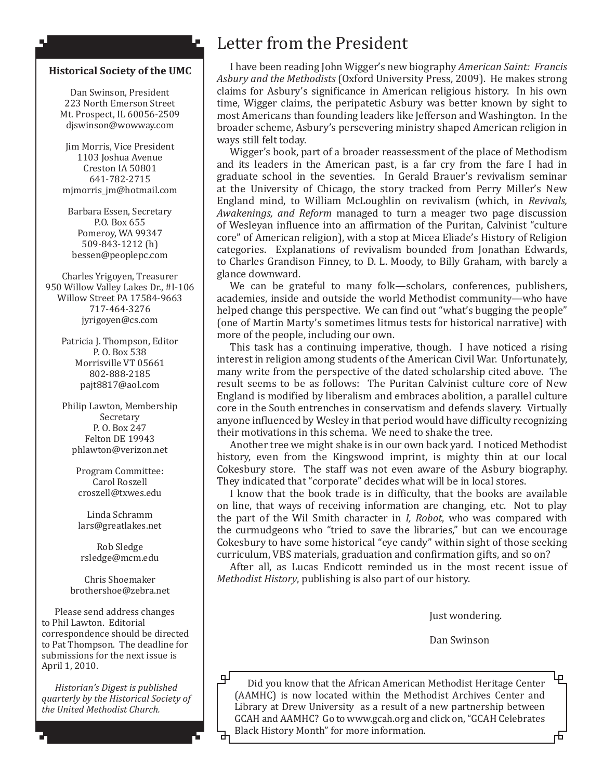#### **Historical Society of the UMC**

۸J

Dan Swinson, President 223 North Emerson Street Mt. Prospect, IL 60056-2509 djswinson@wowway.com

Jim Morris, Vice President 1103 Joshua Avenue Creston IA 50801 641-782-2715 mjmorris\_jm@hotmail.com

Barbara Essen, Secretary P.O. Box 655 Pomeroy, WA 99347 509-843-1212 (h) bessen@peoplepc.com

Charles Yrigoyen, Treasurer 950 Willow Valley Lakes Dr., #I-106 Willow Street PA 17584-9663 717-464-3276 jyrigoyen@cs.com

> Patricia J. Thompson, Editor P. O. Box 538 Morrisville VT 05661 802-888-2185 pajt8817@aol.com

> Philip Lawton, Membership Secretary P. O. Box 247 Felton DE 19943 phlawton@verizon.net

> > Program Committee: Carol Roszell croszell@txwes.edu

Linda Schramm lars@greatlakes.net

Rob Sledge rsledge@mcm.edu

Chris Shoemaker brothershoe@zebra.net

Please send address changes to Phil Lawton. Editorial correspondence should be directed to Pat Thompson. The deadline for submissions for the next issue is April 1, 2010.

*Historian's Digest is published quarterly by the Historical Society of the United Methodist Church.* 

## Letter from the President

I have been reading John Wigger's new biography *American Saint: Francis Asbury and the Methodists* (Oxford University Press, 2009). He makes strong claims for Asbury's significance in American religious history. In his own time, Wigger claims, the peripatetic Asbury was better known by sight to most Americans than founding leaders like Jefferson and Washington. In the broader scheme, Asbury's persevering ministry shaped American religion in ways still felt today.

Wigger's book, part of a broader reassessment of the place of Methodism and its leaders in the American past, is a far cry from the fare I had in graduate school in the seventies. In Gerald Brauer's revivalism seminar at the University of Chicago, the story tracked from Perry Miller's New England mind, to William McLoughlin on revivalism (which, in *Revivals, Awakenings, and Reform* managed to turn a meager two page discussion of Wesleyan influence into an affirmation of the Puritan, Calvinist "culture core" of American religion), with a stop at Micea Eliade's History of Religion categories. Explanations of revivalism bounded from Jonathan Edwards, to Charles Grandison Finney, to D. L. Moody, to Billy Graham, with barely a glance downward.

We can be grateful to many folk—scholars, conferences, publishers, academies, inside and outside the world Methodist community—who have helped change this perspective. We can find out "what's bugging the people" (one of Martin Marty's sometimes litmus tests for historical narrative) with more of the people, including our own.

This task has a continuing imperative, though. I have noticed a rising interest in religion among students of the American Civil War. Unfortunately, many write from the perspective of the dated scholarship cited above. The result seems to be as follows: The Puritan Calvinist culture core of New England is modified by liberalism and embraces abolition, a parallel culture core in the South entrenches in conservatism and defends slavery. Virtually anyone influenced by Wesley in that period would have difficulty recognizing their motivations in this schema. We need to shake the tree.

Another tree we might shake is in our own back yard. I noticed Methodist history, even from the Kingswood imprint, is mighty thin at our local Cokesbury store. The staff was not even aware of the Asbury biography. They indicated that "corporate" decides what will be in local stores.

I know that the book trade is in difficulty, that the books are available on line, that ways of receiving information are changing, etc. Not to play the part of the Wil Smith character in *I, Robot*, who was compared with the curmudgeons who "tried to save the libraries," but can we encourage Cokesbury to have some historical "eye candy" within sight of those seeking curriculum, VBS materials, graduation and confirmation gifts, and so on?

After all, as Lucas Endicott reminded us in the most recent issue of *Methodist History*, publishing is also part of our history.

Just wondering.

市

Dan Swinson

цJ Did you know that the African American Methodist Heritage Center (AAMHC) is now located within the Methodist Archives Center and Library at Drew University as a result of a new partnership between GCAH and AAMHC? Go to www.gcah.org and click on, "GCAH Celebrates Black History Month" for more information.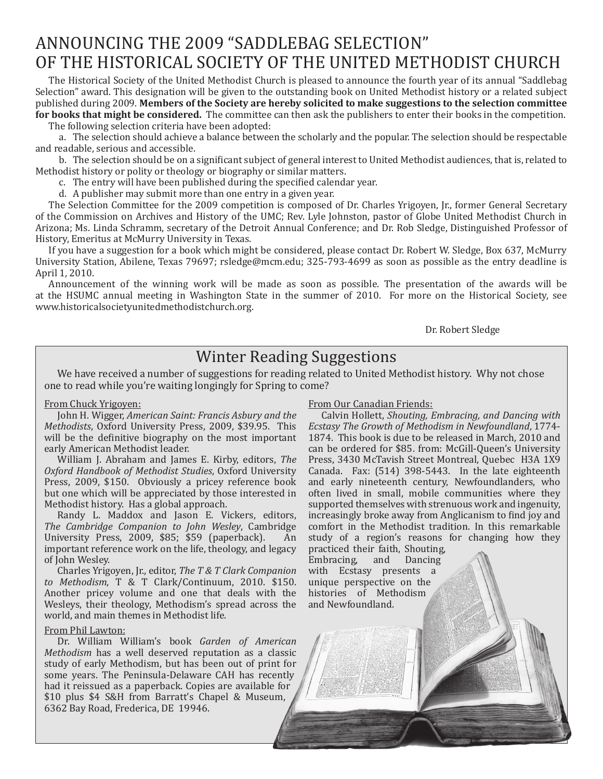# ANNOUNCING THE 2009 "SADDLEBAG SELECTION" OF THE HISTORICAL SOCIETY OF THE UNITED METHODIST CHURCH

The Historical Society of the United Methodist Church is pleased to announce the fourth year of its annual "Saddlebag Selection" award. This designation will be given to the outstanding book on United Methodist history or a related subject published during 2009. **Members of the Society are hereby solicited to make suggestions to the selection committee for books that might be considered.** The committee can then ask the publishers to enter their books in the competition.

The following selection criteria have been adopted:

a. The selection should achieve a balance between the scholarly and the popular. The selection should be respectable and readable, serious and accessible.

b. The selection should be on a significant subject of general interest to United Methodist audiences, that is, related to Methodist history or polity or theology or biography or similar matters.

c. The entry will have been published during the specified calendar year.

d. A publisher may submit more than one entry in a given year.

The Selection Committee for the 2009 competition is composed of Dr. Charles Yrigoyen, Jr., former General Secretary of the Commission on Archives and History of the UMC; Rev. Lyle Johnston, pastor of Globe United Methodist Church in Arizona; Ms. Linda Schramm, secretary of the Detroit Annual Conference; and Dr. Rob Sledge, Distinguished Professor of History, Emeritus at McMurry University in Texas.

If you have a suggestion for a book which might be considered, please contact Dr. Robert W. Sledge, Box 637, McMurry University Station, Abilene, Texas 79697; rsledge@mcm.edu; 325-793-4699 as soon as possible as the entry deadline is April 1, 2010.

Announcement of the winning work will be made as soon as possible. The presentation of the awards will be at the HSUMC annual meeting in Washington State in the summer of 2010. For more on the Historical Society, see www.historicalsocietyunitedmethodistchurch.org.

Dr. Robert Sledge

### Winter Reading Suggestions

We have received a number of suggestions for reading related to United Methodist history. Why not chose one to read while you're waiting longingly for Spring to come?

#### From Chuck Yrigoyen:

John H. Wigger, *American Saint: Francis Asbury and the Methodists*, Oxford University Press, 2009, \$39.95. This will be the definitive biography on the most important early American Methodist leader.

William J. Abraham and James E. Kirby, editors, *The Oxford Handbook of Methodist Studies*, Oxford University Press, 2009, \$150. Obviously a pricey reference book but one which will be appreciated by those interested in Methodist history. Has a global approach.

Randy L. Maddox and Jason E. Vickers, editors, *The Cambridge Companion to John Wesley*, Cambridge University Press, 2009, \$85; \$59 (paperback). important reference work on the life, theology, and legacy of John Wesley.

Charles Yrigoyen, Jr., editor, *The T & T Clark Companion to Methodism*, T & T Clark/Continuum, 2010. \$150. Another pricey volume and one that deals with the Wesleys, their theology, Methodism's spread across the world, and main themes in Methodist life.

#### From Phil Lawton:

Dr. William William's book *Garden of American Methodism* has a well deserved reputation as a classic study of early Methodism, but has been out of print for some years. The Peninsula-Delaware CAH has recently had it reissued as a paperback. Copies are available for \$10 plus \$4 S&H from Barratt's Chapel & Museum, 6362 Bay Road, Frederica, DE 19946.

From Our Canadian Friends:

Calvin Hollett, *Shouting, Embracing, and Dancing with Ecstasy The Growth of Methodism in Newfoundland*, 1774- 1874. This book is due to be released in March, 2010 and can be ordered for \$85. from: McGill-Queen's University Press, 3430 McTavish Street Montreal, Quebec H3A 1X9 Canada. Fax: (514) 398-5443. In the late eighteenth and early nineteenth century, Newfoundlanders, who often lived in small, mobile communities where they supported themselves with strenuous work and ingenuity, increasingly broke away from Anglicanism to find joy and comfort in the Methodist tradition. In this remarkable study of a region's reasons for changing how they

practiced their faith, Shouting,<br>Embracing, and Dancing Embracing, and with Ecstasy presents a unique perspective on the histories of Methodism and Newfoundland.